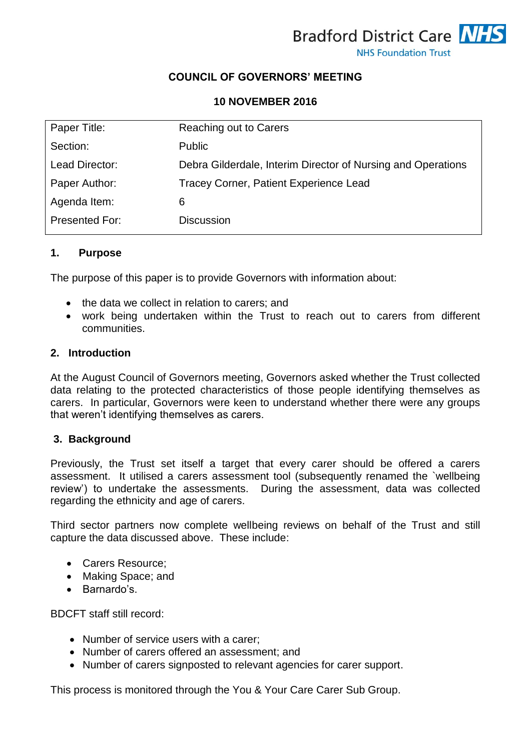

# **COUNCIL OF GOVERNORS' MEETING**

### **10 NOVEMBER 2016**

| Paper Title:   | Reaching out to Carers                                       |
|----------------|--------------------------------------------------------------|
| Section:       | <b>Public</b>                                                |
| Lead Director: | Debra Gilderdale, Interim Director of Nursing and Operations |
| Paper Author:  | Tracey Corner, Patient Experience Lead                       |
| Agenda Item:   | 6                                                            |
| Presented For: | <b>Discussion</b>                                            |

#### **1. Purpose**

The purpose of this paper is to provide Governors with information about:

- the data we collect in relation to carers; and
- work being undertaken within the Trust to reach out to carers from different communities.

#### **2. Introduction**

At the August Council of Governors meeting, Governors asked whether the Trust collected data relating to the protected characteristics of those people identifying themselves as carers. In particular, Governors were keen to understand whether there were any groups that weren't identifying themselves as carers.

#### **3. Background**

Previously, the Trust set itself a target that every carer should be offered a carers assessment. It utilised a carers assessment tool (subsequently renamed the `wellbeing review') to undertake the assessments. During the assessment, data was collected regarding the ethnicity and age of carers.

Third sector partners now complete wellbeing reviews on behalf of the Trust and still capture the data discussed above. These include:

- Carers Resource;
- Making Space; and
- Barnardo's.

BDCFT staff still record:

- Number of service users with a carer:
- Number of carers offered an assessment; and
- Number of carers signposted to relevant agencies for carer support.

This process is monitored through the You & Your Care Carer Sub Group.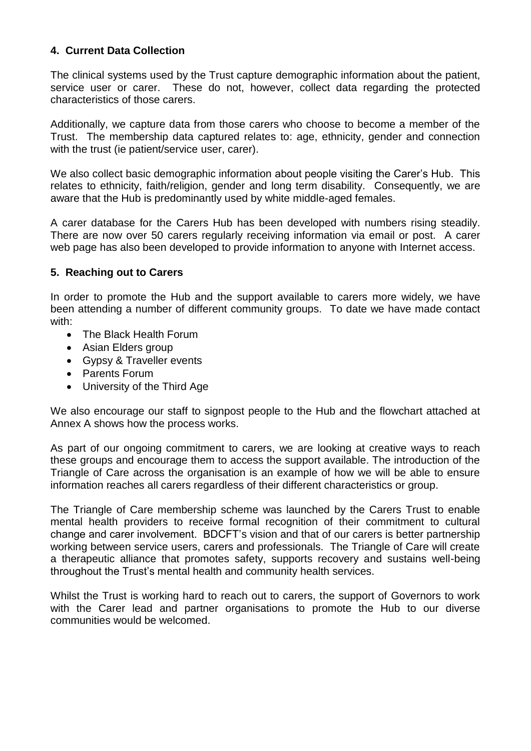# **4. Current Data Collection**

The clinical systems used by the Trust capture demographic information about the patient, service user or carer. These do not, however, collect data regarding the protected characteristics of those carers.

Additionally, we capture data from those carers who choose to become a member of the Trust. The membership data captured relates to: age, ethnicity, gender and connection with the trust (ie patient/service user, carer).

We also collect basic demographic information about people visiting the Carer's Hub. This relates to ethnicity, faith/religion, gender and long term disability. Consequently, we are aware that the Hub is predominantly used by white middle-aged females.

A carer database for the Carers Hub has been developed with numbers rising steadily. There are now over 50 carers regularly receiving information via email or post. A carer web page has also been developed to provide information to anyone with Internet access.

### **5. Reaching out to Carers**

In order to promote the Hub and the support available to carers more widely, we have been attending a number of different community groups. To date we have made contact with:

- The Black Health Forum
- Asian Elders group
- Gypsy & Traveller events
- Parents Forum
- University of the Third Age

We also encourage our staff to signpost people to the Hub and the flowchart attached at Annex A shows how the process works.

As part of our ongoing commitment to carers, we are looking at creative ways to reach these groups and encourage them to access the support available. The introduction of the Triangle of Care across the organisation is an example of how we will be able to ensure information reaches all carers regardless of their different characteristics or group.

The Triangle of Care membership scheme was launched by the Carers Trust to enable mental health providers to receive formal recognition of their commitment to cultural change and carer involvement. BDCFT's vision and that of our carers is better partnership working between service users, carers and professionals. The Triangle of Care will create a therapeutic alliance that promotes safety, supports recovery and sustains well-being throughout the Trust's mental health and community health services.

Whilst the Trust is working hard to reach out to carers, the support of Governors to work with the Carer lead and partner organisations to promote the Hub to our diverse communities would be welcomed.